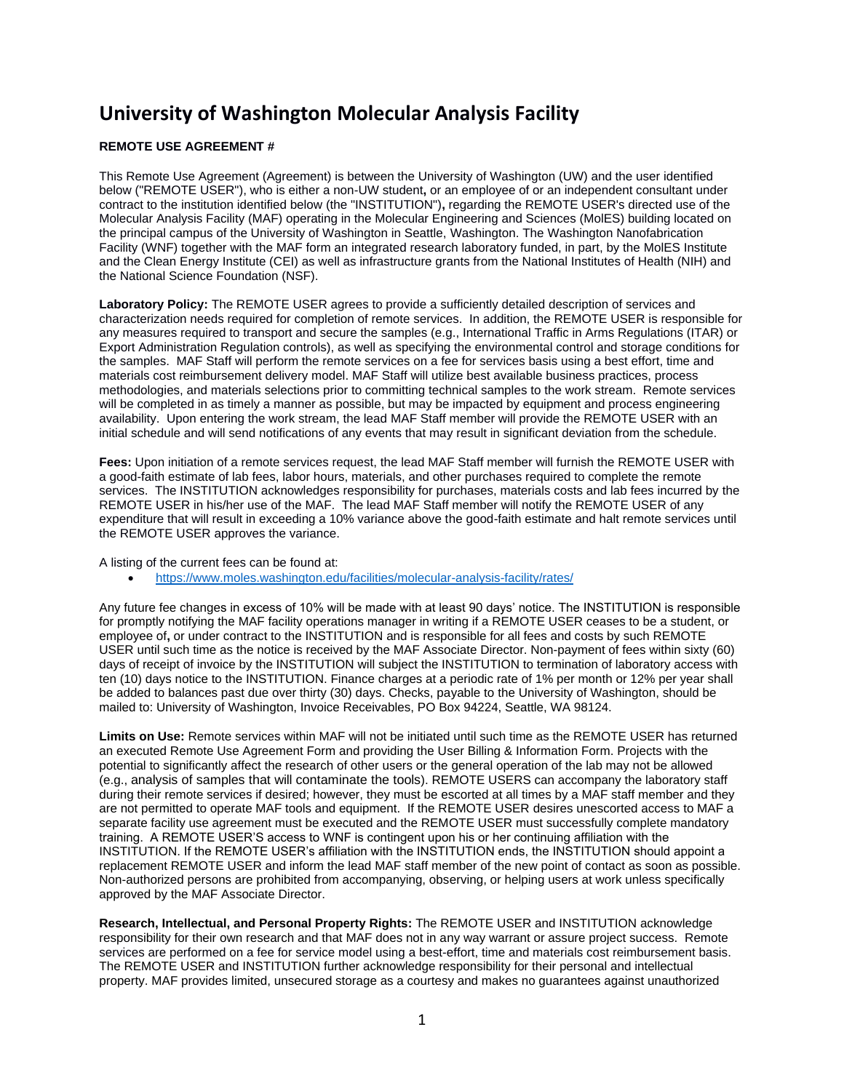## **University of Washington Molecular Analysis Facility**

## **REMOTE USE AGREEMENT #**

This Remote Use Agreement (Agreement) is between the University of Washington (UW) and the user identified below ("REMOTE USER"), who is either a non-UW student**,** or an employee of or an independent consultant under contract to the institution identified below (the "INSTITUTION")**,** regarding the REMOTE USER's directed use of the Molecular Analysis Facility (MAF) operating in the Molecular Engineering and Sciences (MolES) building located on the principal campus of the University of Washington in Seattle, Washington. The Washington Nanofabrication Facility (WNF) together with the MAF form an integrated research laboratory funded, in part, by the MolES Institute and the Clean Energy Institute (CEI) as well as infrastructure grants from the National Institutes of Health (NIH) and the National Science Foundation (NSF).

**Laboratory Policy:** The REMOTE USER agrees to provide a sufficiently detailed description of services and characterization needs required for completion of remote services. In addition, the REMOTE USER is responsible for any measures required to transport and secure the samples (e.g., International Traffic in Arms Regulations (ITAR) or Export Administration Regulation controls), as well as specifying the environmental control and storage conditions for the samples. MAF Staff will perform the remote services on a fee for services basis using a best effort, time and materials cost reimbursement delivery model. MAF Staff will utilize best available business practices, process methodologies, and materials selections prior to committing technical samples to the work stream. Remote services will be completed in as timely a manner as possible, but may be impacted by equipment and process engineering availability. Upon entering the work stream, the lead MAF Staff member will provide the REMOTE USER with an initial schedule and will send notifications of any events that may result in significant deviation from the schedule.

**Fees:** Upon initiation of a remote services request, the lead MAF Staff member will furnish the REMOTE USER with a good-faith estimate of lab fees, labor hours, materials, and other purchases required to complete the remote services. The INSTITUTION acknowledges responsibility for purchases, materials costs and lab fees incurred by the REMOTE USER in his/her use of the MAF. The lead MAF Staff member will notify the REMOTE USER of any expenditure that will result in exceeding a 10% variance above the good-faith estimate and halt remote services until the REMOTE USER approves the variance.

A listing of the current fees can be found at:

• <https://www.moles.washington.edu/facilities/molecular-analysis-facility/rates/>

Any future fee changes in excess of 10% will be made with at least 90 days' notice. The INSTITUTION is responsible for promptly notifying the MAF facility operations manager in writing if a REMOTE USER ceases to be a student, or employee of**,** or under contract to the INSTITUTION and is responsible for all fees and costs by such REMOTE USER until such time as the notice is received by the MAF Associate Director. Non-payment of fees within sixty (60) days of receipt of invoice by the INSTITUTION will subject the INSTITUTION to termination of laboratory access with ten (10) days notice to the INSTITUTION. Finance charges at a periodic rate of 1% per month or 12% per year shall be added to balances past due over thirty (30) days. Checks, payable to the University of Washington, should be mailed to: University of Washington, Invoice Receivables, PO Box 94224, Seattle, WA 98124.

**Limits on Use:** Remote services within MAF will not be initiated until such time as the REMOTE USER has returned an executed Remote Use Agreement Form and providing the User Billing & Information Form. Projects with the potential to significantly affect the research of other users or the general operation of the lab may not be allowed (e.g., analysis of samples that will contaminate the tools). REMOTE USERS can accompany the laboratory staff during their remote services if desired; however, they must be escorted at all times by a MAF staff member and they are not permitted to operate MAF tools and equipment. If the REMOTE USER desires unescorted access to MAF a separate facility use agreement must be executed and the REMOTE USER must successfully complete mandatory training. A REMOTE USER'S access to WNF is contingent upon his or her continuing affiliation with the INSTITUTION. If the REMOTE USER's affiliation with the INSTITUTION ends, the INSTITUTION should appoint a replacement REMOTE USER and inform the lead MAF staff member of the new point of contact as soon as possible. Non-authorized persons are prohibited from accompanying, observing, or helping users at work unless specifically approved by the MAF Associate Director.

**Research, Intellectual, and Personal Property Rights:** The REMOTE USER and INSTITUTION acknowledge responsibility for their own research and that MAF does not in any way warrant or assure project success. Remote services are performed on a fee for service model using a best-effort, time and materials cost reimbursement basis. The REMOTE USER and INSTITUTION further acknowledge responsibility for their personal and intellectual property. MAF provides limited, unsecured storage as a courtesy and makes no guarantees against unauthorized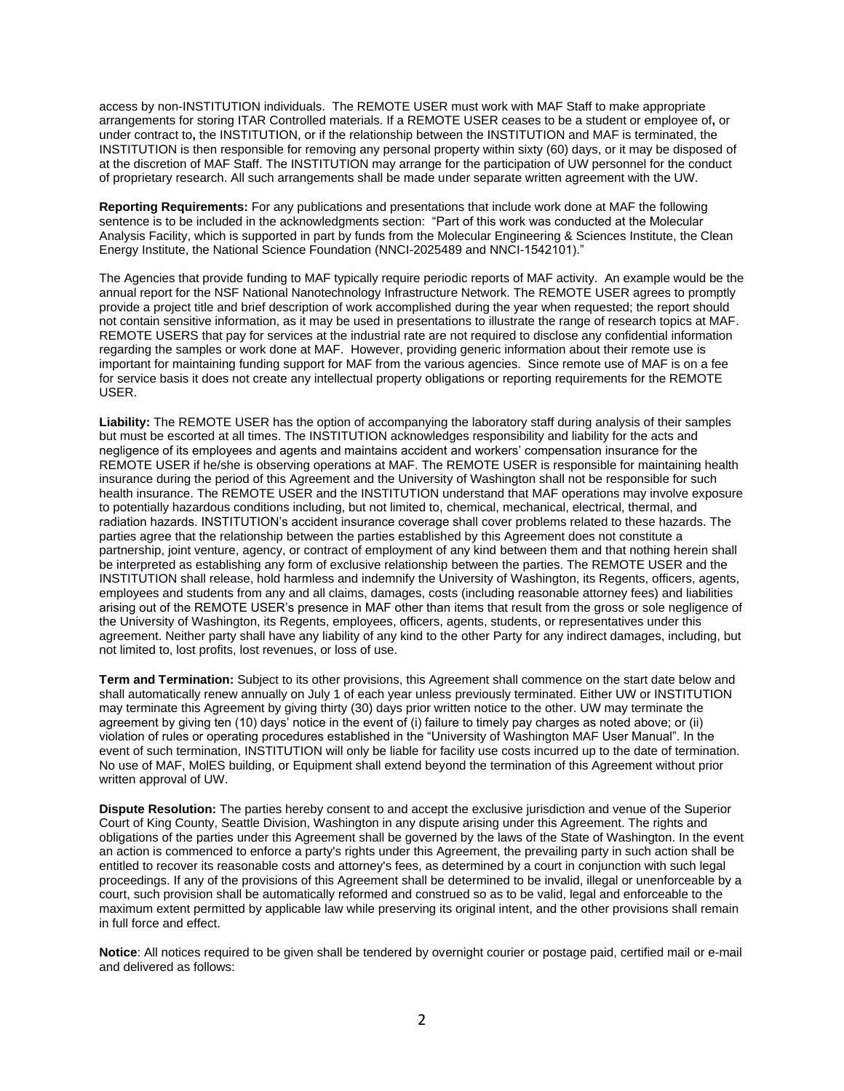access by non-INSTITUTION individuals. The REMOTE USER must work with MAF Staff to make appropriate arrangements for storing ITAR Controlled materials. If a REMOTE USER ceases to be a student or employee of**,** or under contract to**,** the INSTITUTION, or if the relationship between the INSTITUTION and MAF is terminated, the INSTITUTION is then responsible for removing any personal property within sixty (60) days, or it may be disposed of at the discretion of MAF Staff. The INSTITUTION may arrange for the participation of UW personnel for the conduct of proprietary research. All such arrangements shall be made under separate written agreement with the UW.

**Reporting Requirements:** For any publications and presentations that include work done at MAF the following sentence is to be included in the acknowledgments section:"Part of this work was conducted at the Molecular Analysis Facility, which is supported in part by funds from the Molecular Engineering & Sciences Institute, the Clean Energy Institute, the National Science Foundation (NNCI-2025489 and NNCI-1542101)."

The Agencies that provide funding to MAF typically require periodic reports of MAF activity. An example would be the annual report for the NSF National Nanotechnology Infrastructure Network. The REMOTE USER agrees to promptly provide a project title and brief description of work accomplished during the year when requested; the report should not contain sensitive information, as it may be used in presentations to illustrate the range of research topics at MAF. REMOTE USERS that pay for services at the industrial rate are not required to disclose any confidential information regarding the samples or work done at MAF. However, providing generic information about their remote use is important for maintaining funding support for MAF from the various agencies. Since remote use of MAF is on a fee for service basis it does not create any intellectual property obligations or reporting requirements for the REMOTE USER.

**Liability:** The REMOTE USER has the option of accompanying the laboratory staff during analysis of their samples but must be escorted at all times. The INSTITUTION acknowledges responsibility and liability for the acts and negligence of its employees and agents and maintains accident and workers' compensation insurance for the REMOTE USER if he/she is observing operations at MAF. The REMOTE USER is responsible for maintaining health insurance during the period of this Agreement and the University of Washington shall not be responsible for such health insurance. The REMOTE USER and the INSTITUTION understand that MAF operations may involve exposure to potentially hazardous conditions including, but not limited to, chemical, mechanical, electrical, thermal, and radiation hazards. INSTITUTION's accident insurance coverage shall cover problems related to these hazards. The parties agree that the relationship between the parties established by this Agreement does not constitute a partnership, joint venture, agency, or contract of employment of any kind between them and that nothing herein shall be interpreted as establishing any form of exclusive relationship between the parties. The REMOTE USER and the INSTITUTION shall release, hold harmless and indemnify the University of Washington, its Regents, officers, agents, employees and students from any and all claims, damages, costs (including reasonable attorney fees) and liabilities arising out of the REMOTE USER's presence in MAF other than items that result from the gross or sole negligence of the University of Washington, its Regents, employees, officers, agents, students, or representatives under this agreement. Neither party shall have any liability of any kind to the other Party for any indirect damages, including, but not limited to, lost profits, lost revenues, or loss of use.

**Term and Termination:** Subject to its other provisions, this Agreement shall commence on the start date below and shall automatically renew annually on July 1 of each year unless previously terminated. Either UW or INSTITUTION may terminate this Agreement by giving thirty (30) days prior written notice to the other. UW may terminate the agreement by giving ten (10) days' notice in the event of (i) failure to timely pay charges as noted above; or (ii) violation of rules or operating procedures established in the "University of Washington MAF User Manual". In the event of such termination, INSTITUTION will only be liable for facility use costs incurred up to the date of termination. No use of MAF, MolES building, or Equipment shall extend beyond the termination of this Agreement without prior written approval of UW.

**Dispute Resolution:** The parties hereby consent to and accept the exclusive jurisdiction and venue of the Superior Court of King County, Seattle Division, Washington in any dispute arising under this Agreement. The rights and obligations of the parties under this Agreement shall be governed by the laws of the State of Washington. In the event an action is commenced to enforce a party's rights under this Agreement, the prevailing party in such action shall be entitled to recover its reasonable costs and attorney's fees, as determined by a court in conjunction with such legal proceedings. If any of the provisions of this Agreement shall be determined to be invalid, illegal or unenforceable by a court, such provision shall be automatically reformed and construed so as to be valid, legal and enforceable to the maximum extent permitted by applicable law while preserving its original intent, and the other provisions shall remain in full force and effect.

**Notice**: All notices required to be given shall be tendered by overnight courier or postage paid, certified mail or e-mail and delivered as follows: